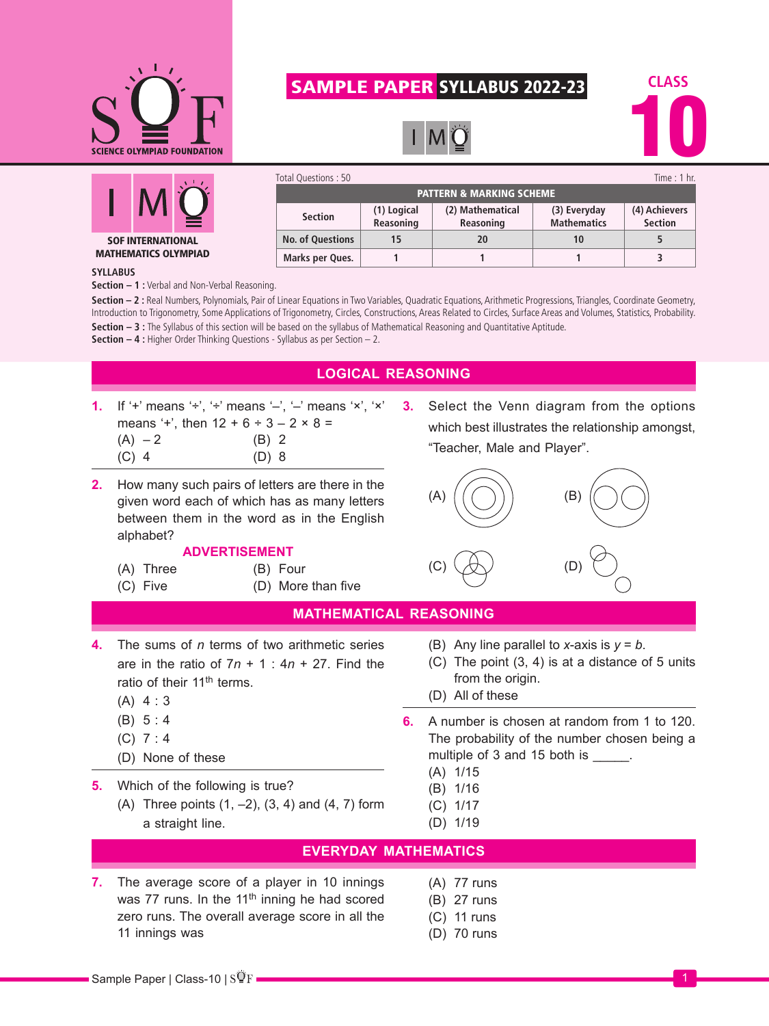

## SAMPLE PAPER SYLLABUS 2022-23



PATTERN & MARKING SCHEME

Total Questions : 50 Time : 1 hr.

**(3) Everyday Mathematics**

**(2) Mathematical Reasoning**

**No. of Questions 15 20 10 5 Marks per Ques. 1 1 1 3**



**(4) Achievers Section**



## MATHEMATICS OLYMPIAD

## **SYLLABUS**

**Section – 1 :** Verbal and Non-Verbal Reasoning.

**Section – 2 :** Real Numbers, Polynomials, Pair of Linear Equations in Two Variables, Quadratic Equations, Arithmetic Progressions, Triangles, Coordinate Geometry, Introduction to Trigonometry, Some Applications of Trigonometry, Circles, Constructions, Areas Related to Circles, Surface Areas and Volumes, Statistics, Probability. **Section – 3 :** The Syllabus of this section will be based on the syllabus of Mathematical Reasoning and Quantitative Aptitude.

**Reasoning**

**Section (1) Logical** 

**Section – 4 :** Higher Order Thinking Questions - Syllabus as per Section – 2.



11 innings was

zero runs. The overall average score in all the

- 
- (C) 11 runs
- (D) 70 runs